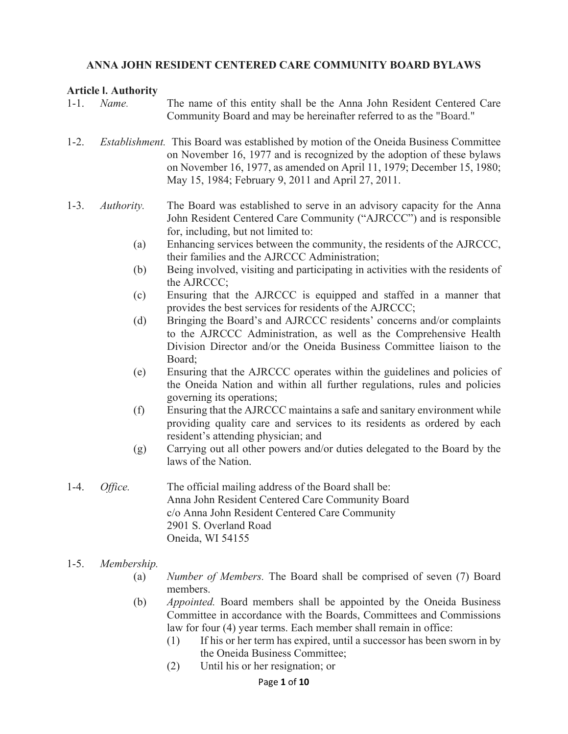#### **ANNA JOHN RESIDENT CENTERED CARE COMMUNITY BOARD BYLAWS**

#### **Article I. Authority**

| $1 - 1$ . | Name.       | The name of this entity shall be the Anna John Resident Centered Care<br>Community Board and may be hereinafter referred to as the "Board."                                                                                                                                                           |
|-----------|-------------|-------------------------------------------------------------------------------------------------------------------------------------------------------------------------------------------------------------------------------------------------------------------------------------------------------|
| $1-2.$    |             | <i>Establishment.</i> This Board was established by motion of the Oneida Business Committee<br>on November 16, 1977 and is recognized by the adoption of these bylaws<br>on November 16, 1977, as amended on April 11, 1979; December 15, 1980;<br>May 15, 1984; February 9, 2011 and April 27, 2011. |
| $1 - 3$ . | Authority.  | The Board was established to serve in an advisory capacity for the Anna<br>John Resident Centered Care Community ("AJRCCC") and is responsible<br>for, including, but not limited to:                                                                                                                 |
|           | (a)         | Enhancing services between the community, the residents of the AJRCCC,<br>their families and the AJRCCC Administration;                                                                                                                                                                               |
|           | (b)         | Being involved, visiting and participating in activities with the residents of<br>the AJRCCC;                                                                                                                                                                                                         |
|           | (c)         | Ensuring that the AJRCCC is equipped and staffed in a manner that<br>provides the best services for residents of the AJRCCC;                                                                                                                                                                          |
|           | (d)         | Bringing the Board's and AJRCCC residents' concerns and/or complaints<br>to the AJRCCC Administration, as well as the Comprehensive Health<br>Division Director and/or the Oneida Business Committee liaison to the<br>Board;                                                                         |
|           | (e)         | Ensuring that the AJRCCC operates within the guidelines and policies of<br>the Oneida Nation and within all further regulations, rules and policies<br>governing its operations;                                                                                                                      |
|           | (f)         | Ensuring that the AJRCCC maintains a safe and sanitary environment while<br>providing quality care and services to its residents as ordered by each<br>resident's attending physician; and                                                                                                            |
|           | (g)         | Carrying out all other powers and/or duties delegated to the Board by the<br>laws of the Nation.                                                                                                                                                                                                      |
| $1-4.$    | Office.     | The official mailing address of the Board shall be:<br>Anna John Resident Centered Care Community Board<br>c/o Anna John Resident Centered Care Community<br>2901 S. Overland Road<br>Oneida, WI 54155                                                                                                |
| $1-5.$    | Membership. |                                                                                                                                                                                                                                                                                                       |
|           | (a)         | <i>Number of Members.</i> The Board shall be comprised of seven (7) Board<br>members.                                                                                                                                                                                                                 |
|           | (b)         | Appointed. Board members shall be appointed by the Oneida Business<br>Committee in accordance with the Boards, Committees and Commissions<br>law for four (4) year terms. Each member shall remain in office:                                                                                         |

- (1) If his or her term has expired, until a successor has been sworn in by the Oneida Business Committee;
	- (2) Until his or her resignation; or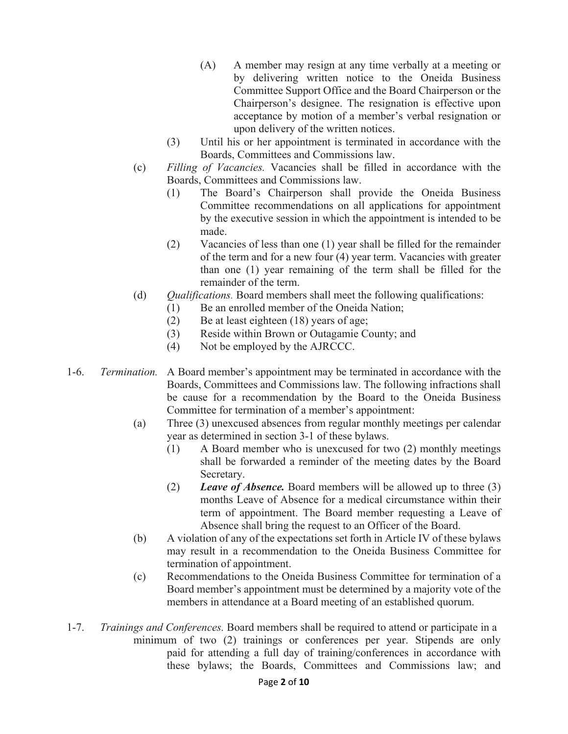- (A) A member may resign at any time verbally at a meeting or by delivering written notice to the Oneida Business Committee Support Office and the Board Chairperson or the Chairperson's designee. The resignation is effective upon acceptance by motion of a member's verbal resignation or upon delivery of the written notices.
- (3) Until his or her appointment is terminated in accordance with the Boards, Committees and Commissions law.
- (c) *Filling of Vacancies.* Vacancies shall be filled in accordance with the Boards, Committees and Commissions law.
	- (1) The Board's Chairperson shall provide the Oneida Business Committee recommendations on all applications for appointment by the executive session in which the appointment is intended to be made.
	- (2) Vacancies of less than one (1) year shall be filled for the remainder of the term and for a new four (4) year term. Vacancies with greater than one (1) year remaining of the term shall be filled for the remainder of the term.
- (d) *Qualifications.* Board members shall meet the following qualifications:
	- (1) Be an enrolled member of the Oneida Nation;
	- (2) Be at least eighteen (18) years of age;
	- (3) Reside within Brown or Outagamie County; and
	- (4) Not be employed by the AJRCCC.
- 1-6. *Termination.* A Board member's appointment may be terminated in accordance with the Boards, Committees and Commissions law. The following infractions shall be cause for a recommendation by the Board to the Oneida Business Committee for termination of a member's appointment:
	- (a) Three (3) unexcused absences from regular monthly meetings per calendar year as determined in section 3-1 of these bylaws.
		- (1) A Board member who is unexcused for two (2) monthly meetings shall be forwarded a reminder of the meeting dates by the Board Secretary.
		- (2) *Leave of Absence.* Board members will be allowed up to three (3) months Leave of Absence for a medical circumstance within their term of appointment. The Board member requesting a Leave of Absence shall bring the request to an Officer of the Board.
	- (b) A violation of any of the expectations set forth in Article IV of these bylaws may result in a recommendation to the Oneida Business Committee for termination of appointment.
	- (c) Recommendations to the Oneida Business Committee for termination of a Board member's appointment must be determined by a majority vote of the members in attendance at a Board meeting of an established quorum.
- 1-7. *Trainings and Conferences.* Board members shall be required to attend or participate in a minimum of two (2) trainings or conferences per year. Stipends are only paid for attending a full day of training/conferences in accordance with these bylaws; the Boards, Committees and Commissions law; and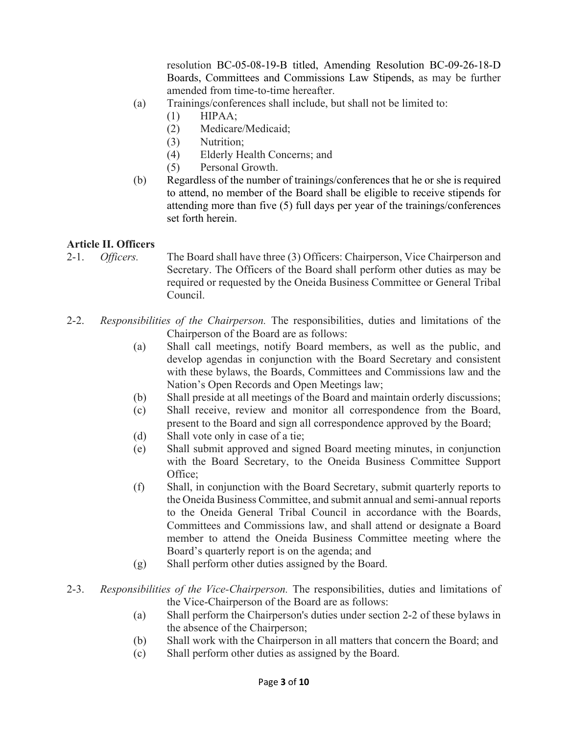resolution BC-05-08-19-B titled, Amending Resolution BC-09-26-18-D Boards, Committees and Commissions Law Stipends, as may be further amended from time-to-time hereafter.

- (a) Trainings/conferences shall include, but shall not be limited to:
	- $(1)$  HIPAA;
		- (2) Medicare/Medicaid;
		- (3) Nutrition;
		- (4) Elderly Health Concerns; and
		- (5) Personal Growth.
- (b) Regardless of the number of trainings/conferences that he or she is required to attend, no member of the Board shall be eligible to receive stipends for attending more than five (5) full days per year of the trainings/conferences set forth herein.

#### **Article II. Officers**

- 2-1. *Officers.* The Board shall have three (3) Officers: Chairperson, Vice Chairperson and Secretary. The Officers of the Board shall perform other duties as may be required or requested by the Oneida Business Committee or General Tribal Council.
- 2-2. *Responsibilities of the Chairperson.* The responsibilities, duties and limitations of the Chairperson of the Board are as follows:
	- (a) Shall call meetings, notify Board members, as well as the public, and develop agendas in conjunction with the Board Secretary and consistent with these bylaws, the Boards, Committees and Commissions law and the Nation's Open Records and Open Meetings law;
	- (b) Shall preside at all meetings of the Board and maintain orderly discussions;
	- (c) Shall receive, review and monitor all correspondence from the Board, present to the Board and sign all correspondence approved by the Board;
	- (d) Shall vote only in case of a tie;
	- (e) Shall submit approved and signed Board meeting minutes, in conjunction with the Board Secretary, to the Oneida Business Committee Support Office;
	- (f) Shall, in conjunction with the Board Secretary, submit quarterly reports to the Oneida Business Committee, and submit annual and semi-annual reports to the Oneida General Tribal Council in accordance with the Boards, Committees and Commissions law, and shall attend or designate a Board member to attend the Oneida Business Committee meeting where the Board's quarterly report is on the agenda; and
	- (g) Shall perform other duties assigned by the Board.
- 2-3. *Responsibilities of the Vice-Chairperson.* The responsibilities, duties and limitations of the Vice-Chairperson of the Board are as follows:
	- (a) Shall perform the Chairperson's duties under section 2-2 of these bylaws in the absence of the Chairperson;
	- (b) Shall work with the Chairperson in all matters that concern the Board; and
	- (c) Shall perform other duties as assigned by the Board.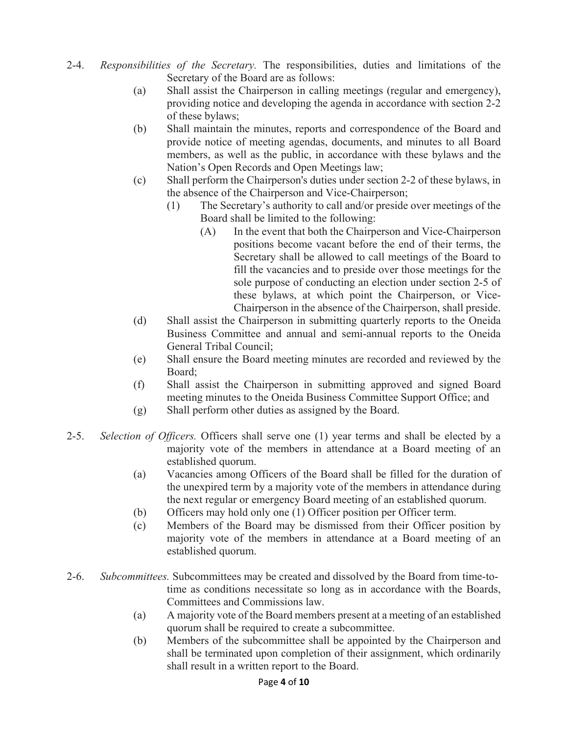- 2-4. *Responsibilities of the Secretary.* The responsibilities, duties and limitations of the Secretary of the Board are as follows:
	- (a) Shall assist the Chairperson in calling meetings (regular and emergency), providing notice and developing the agenda in accordance with section 2-2 of these bylaws;
	- (b) Shall maintain the minutes, reports and correspondence of the Board and provide notice of meeting agendas, documents, and minutes to all Board members, as well as the public, in accordance with these bylaws and the Nation's Open Records and Open Meetings law;
	- (c) Shall perform the Chairperson's duties under section 2-2 of these bylaws, in the absence of the Chairperson and Vice-Chairperson;
		- (1) The Secretary's authority to call and/or preside over meetings of the Board shall be limited to the following:
			- (A) In the event that both the Chairperson and Vice-Chairperson positions become vacant before the end of their terms, the Secretary shall be allowed to call meetings of the Board to fill the vacancies and to preside over those meetings for the sole purpose of conducting an election under section 2-5 of these bylaws, at which point the Chairperson, or Vice- Chairperson in the absence of the Chairperson, shall preside.
	- (d) Shall assist the Chairperson in submitting quarterly reports to the Oneida Business Committee and annual and semi-annual reports to the Oneida General Tribal Council;
	- (e) Shall ensure the Board meeting minutes are recorded and reviewed by the Board;
	- (f) Shall assist the Chairperson in submitting approved and signed Board meeting minutes to the Oneida Business Committee Support Office; and
	- (g) Shall perform other duties as assigned by the Board.
- 2-5. *Selection of Officers.* Officers shall serve one (1) year terms and shall be elected by a majority vote of the members in attendance at a Board meeting of an established quorum.
	- (a) Vacancies among Officers of the Board shall be filled for the duration of the unexpired term by a majority vote of the members in attendance during the next regular or emergency Board meeting of an established quorum.
	- (b) Officers may hold only one (1) Officer position per Officer term.
	- (c) Members of the Board may be dismissed from their Officer position by majority vote of the members in attendance at a Board meeting of an established quorum.
- 2-6. *Subcommittees.* Subcommittees may be created and dissolved by the Board from time-to time as conditions necessitate so long as in accordance with the Boards, Committees and Commissions law.
	- (a) A majority vote of the Board members present at a meeting of an established quorum shall be required to create a subcommittee.
	- (b) Members of the subcommittee shall be appointed by the Chairperson and shall be terminated upon completion of their assignment, which ordinarily shall result in a written report to the Board.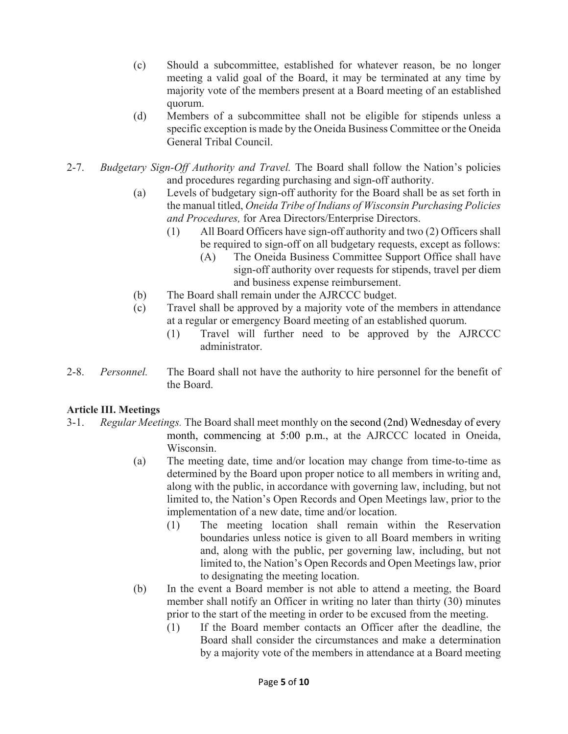- (c) Should a subcommittee, established for whatever reason, be no longer meeting a valid goal of the Board, it may be terminated at any time by majority vote of the members present at a Board meeting of an established quorum.
- (d) Members of a subcommittee shall not be eligible for stipends unless a specific exception is made by the Oneida Business Committee or the Oneida General Tribal Council.
- 2-7. *Budgetary Sign-Off Authority and Travel.* The Board shall follow the Nation's policies and procedures regarding purchasing and sign-off authority.
	- (a) Levels of budgetary sign-off authority for the Board shall be as set forth in the manual titled, *Oneida Tribe of Indians of Wisconsin Purchasing Policies and Procedures,* for Area Directors/Enterprise Directors.
		- (1) All Board Officers have sign-off authority and two (2) Officers shall be required to sign-off on all budgetary requests, except as follows:
			- (A) The Oneida Business Committee Support Office shall have sign-off authority over requests for stipends, travel per diem and business expense reimbursement.
	- (b) The Board shall remain under the AJRCCC budget.
	- (c) Travel shall be approved by a majority vote of the members in attendance at a regular or emergency Board meeting of an established quorum.
		- (1) Travel will further need to be approved by the AJRCCC administrator.
- 2-8. *Personnel.* The Board shall not have the authority to hire personnel for the benefit of the Board.

# **Article III. Meetings**

- 3-1. *Regular Meetings.* The Board shall meet monthly on the second (2nd) Wednesday of every month, commencing at 5:00 p.m., at the AJRCCC located in Oneida, Wisconsin.
	- (a) The meeting date, time and/or location may change from time-to-time as determined by the Board upon proper notice to all members in writing and, along with the public, in accordance with governing law, including, but not limited to, the Nation's Open Records and Open Meetings law, prior to the implementation of a new date, time and/or location.
		- (1) The meeting location shall remain within the Reservation boundaries unless notice is given to all Board members in writing and, along with the public, per governing law, including, but not limited to, the Nation's Open Records and Open Meetings law, prior to designating the meeting location.
	- (b) In the event a Board member is not able to attend a meeting, the Board member shall notify an Officer in writing no later than thirty (30) minutes prior to the start of the meeting in order to be excused from the meeting.
		- (1) If the Board member contacts an Officer after the deadline, the Board shall consider the circumstances and make a determination by a majority vote of the members in attendance at a Board meeting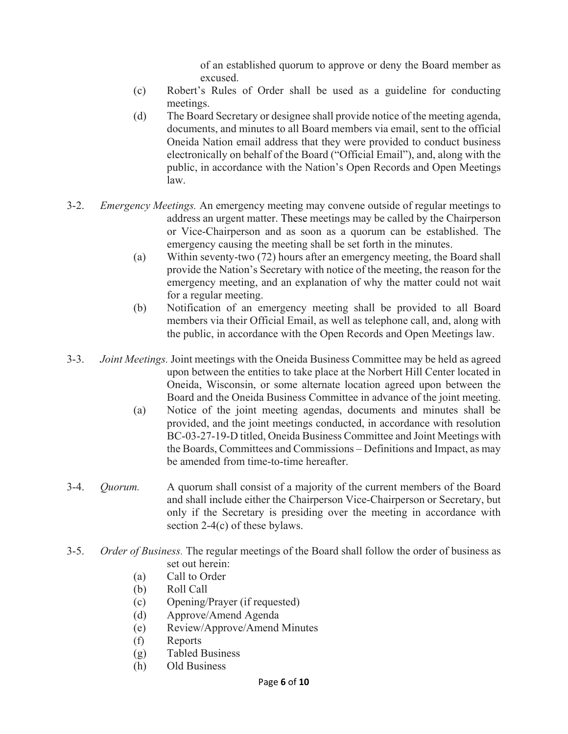of an established quorum to approve or deny the Board member as excused.

- (c) Robert's Rules of Order shall be used as a guideline for conducting meetings.
- (d) The Board Secretary or designee shall provide notice of the meeting agenda, documents, and minutes to all Board members via email, sent to the official Oneida Nation email address that they were provided to conduct business electronically on behalf of the Board ("Official Email"), and, along with the public, in accordance with the Nation's Open Records and Open Meetings law.
- 3-2. *Emergency Meetings.* An emergency meeting may convene outside of regular meetings to address an urgent matter. These meetings may be called by the Chairperson or Vice-Chairperson and as soon as a quorum can be established. The emergency causing the meeting shall be set forth in the minutes.
	- (a) Within seventy-two (72) hours after an emergency meeting, the Board shall provide the Nation's Secretary with notice of the meeting, the reason for the emergency meeting, and an explanation of why the matter could not wait for a regular meeting.
	- (b) Notification of an emergency meeting shall be provided to all Board members via their Official Email, as well as telephone call, and, along with the public, in accordance with the Open Records and Open Meetings law.
- 3-3. *Joint Meetings.* Joint meetings with the Oneida Business Committee may be held as agreed upon between the entities to take place at the Norbert Hill Center located in Oneida, Wisconsin, or some alternate location agreed upon between the Board and the Oneida Business Committee in advance of the joint meeting.
	- (a) Notice of the joint meeting agendas, documents and minutes shall be provided, and the joint meetings conducted, in accordance with resolution BC-03-27-19-D titled, Oneida Business Committee and Joint Meetings with the Boards, Committees and Commissions – Definitions and Impact, as may be amended from time-to-time hereafter.
- 3-4. *Quorum.* A quorum shall consist of a majority of the current members of the Board and shall include either the Chairperson Vice-Chairperson or Secretary, but only if the Secretary is presiding over the meeting in accordance with section 2-4(c) of these bylaws.
- 3-5. *Order of Business.* The regular meetings of the Board shall follow the order of business as set out herein:
	- (a) Call to Order
	- (b) Roll Call
	- (c) Opening/Prayer (if requested)
	- (d) Approve/Amend Agenda
	- (e) Review/Approve/Amend Minutes
	- (f) Reports
	- (g) Tabled Business
	- (h) Old Business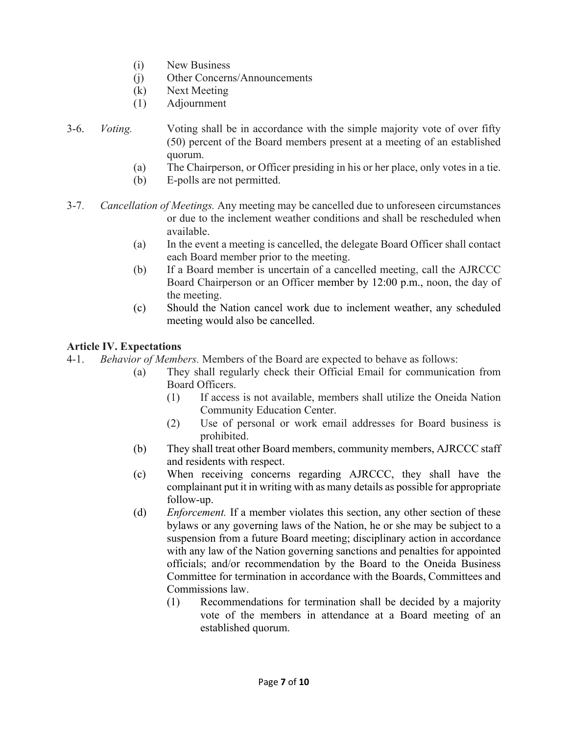- (i) New Business
- (j) Other Concerns/Announcements
- (k) Next Meeting
- (1) Adjournment
- 3-6. *Voting.* Voting shall be in accordance with the simple majority vote of over fifty (50) percent of the Board members present at a meeting of an established quorum.
	- (a) The Chairperson, or Officer presiding in his or her place, only votes in a tie.
	- (b) E-polls are not permitted.
- 3-7. *Cancellation of Meetings.* Any meeting may be cancelled due to unforeseen circumstances or due to the inclement weather conditions and shall be rescheduled when available.
	- (a) In the event a meeting is cancelled, the delegate Board Officer shall contact each Board member prior to the meeting.
	- (b) If a Board member is uncertain of a cancelled meeting, call the AJRCCC Board Chairperson or an Officer member by 12:00 p.m., noon, the day of the meeting.
	- (c) Should the Nation cancel work due to inclement weather, any scheduled meeting would also be cancelled.

# **Article IV. Expectations**

4-1. *Behavior of Members.* Members of the Board are expected to behave as follows:

- (a) They shall regularly check their Official Email for communication from Board Officers.
	- (1) If access is not available, members shall utilize the Oneida Nation Community Education Center.
	- (2) Use of personal or work email addresses for Board business is prohibited.
- (b) They shall treat other Board members, community members, AJRCCC staff and residents with respect.
- (c) When receiving concerns regarding AJRCCC, they shall have the complainant put it in writing with as many details as possible for appropriate follow-up.
- (d) *Enforcement.* If a member violates this section, any other section of these bylaws or any governing laws of the Nation, he or she may be subject to a suspension from a future Board meeting; disciplinary action in accordance with any law of the Nation governing sanctions and penalties for appointed officials; and/or recommendation by the Board to the Oneida Business Committee for termination in accordance with the Boards, Committees and Commissions law.
	- (1) Recommendations for termination shall be decided by a majority vote of the members in attendance at a Board meeting of an established quorum.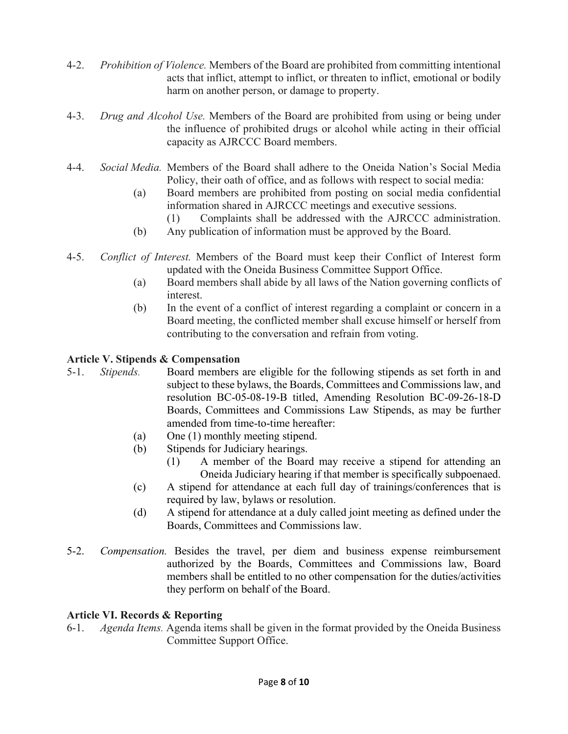- 4-2. *Prohibition of Violence.* Members of the Board are prohibited from committing intentional acts that inflict, attempt to inflict, or threaten to inflict, emotional or bodily harm on another person, or damage to property.
- 4-3. *Drug and Alcohol Use.* Members of the Board are prohibited from using or being under the influence of prohibited drugs or alcohol while acting in their official capacity as AJRCCC Board members.
- 4-4. *Social Media.* Members of the Board shall adhere to the Oneida Nation's Social Media Policy, their oath of office, and as follows with respect to social media:
	- (a) Board members are prohibited from posting on social media confidential information shared in AJRCCC meetings and executive sessions.
		- (1) Complaints shall be addressed with the AJRCCC administration.
	- (b) Any publication of information must be approved by the Board.
- 4-5. *Conflict of Interest.* Members of the Board must keep their Conflict of Interest form updated with the Oneida Business Committee Support Office.
	- (a) Board members shall abide by all laws of the Nation governing conflicts of interest.
	- (b) In the event of a conflict of interest regarding a complaint or concern in a Board meeting, the conflicted member shall excuse himself or herself from contributing to the conversation and refrain from voting.

#### **Article V. Stipends & Compensation**

- 5-1. *Stipends.* Board members are eligible for the following stipends as set forth in and subject to these bylaws, the Boards, Committees and Commissions law, and resolution BC-05-08-19-B titled, Amending Resolution BC-09-26-18-D Boards, Committees and Commissions Law Stipends, as may be further amended from time-to-time hereafter:
	- (a) One (1) monthly meeting stipend.
	- (b) Stipends for Judiciary hearings.
		- (1) A member of the Board may receive a stipend for attending an Oneida Judiciary hearing if that member is specifically subpoenaed.
	- (c) A stipend for attendance at each full day of trainings/conferences that is required by law, bylaws or resolution.
	- (d) A stipend for attendance at a duly called joint meeting as defined under the Boards, Committees and Commissions law.
- 5-2. *Compensation.* Besides the travel, per diem and business expense reimbursement authorized by the Boards, Committees and Commissions law, Board members shall be entitled to no other compensation for the duties/activities they perform on behalf of the Board.

# **Article VI. Records & Reporting**

6-1. *Agenda Items.* Agenda items shall be given in the format provided by the Oneida Business Committee Support Office.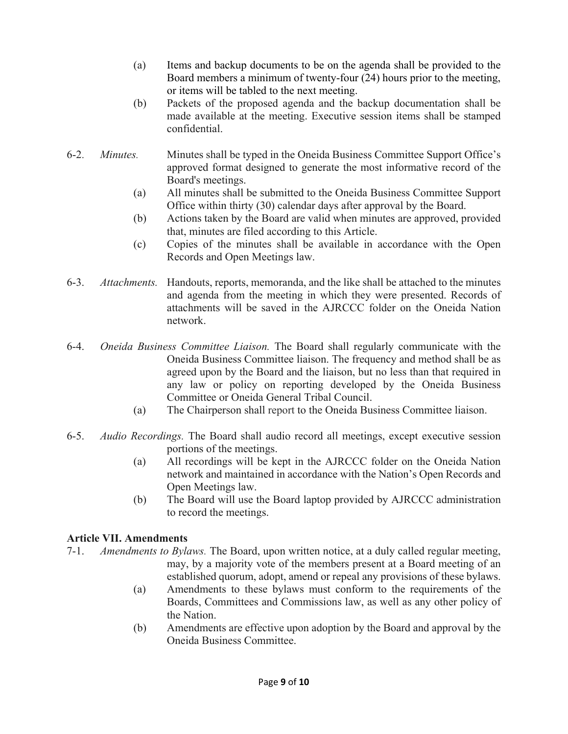- (a) Items and backup documents to be on the agenda shall be provided to the Board members a minimum of twenty-four (24) hours prior to the meeting, or items will be tabled to the next meeting.
- (b) Packets of the proposed agenda and the backup documentation shall be made available at the meeting. Executive session items shall be stamped confidential.
- 6-2. *Minutes.* Minutes shall be typed in the Oneida Business Committee Support Office's approved format designed to generate the most informative record of the Board's meetings.
	- (a) All minutes shall be submitted to the Oneida Business Committee Support Office within thirty (30) calendar days after approval by the Board.
	- (b) Actions taken by the Board are valid when minutes are approved, provided that, minutes are filed according to this Article.
	- (c) Copies of the minutes shall be available in accordance with the Open Records and Open Meetings law.
- 6-3. *Attachments.* Handouts, reports, memoranda, and the like shall be attached to the minutes and agenda from the meeting in which they were presented. Records of attachments will be saved in the AJRCCC folder on the Oneida Nation network.
- 6-4. *Oneida Business Committee Liaison.* The Board shall regularly communicate with the Oneida Business Committee liaison. The frequency and method shall be as agreed upon by the Board and the liaison, but no less than that required in any law or policy on reporting developed by the Oneida Business Committee or Oneida General Tribal Council.
	- (a) The Chairperson shall report to the Oneida Business Committee liaison.
- 6-5. *Audio Recordings.* The Board shall audio record all meetings, except executive session portions of the meetings.
	- (a) All recordings will be kept in the AJRCCC folder on the Oneida Nation network and maintained in accordance with the Nation's Open Records and Open Meetings law.
	- (b) The Board will use the Board laptop provided by AJRCCC administration to record the meetings.

# **Article VII. Amendments**

- 7-1. *Amendments to Bylaws.* The Board, upon written notice, at a duly called regular meeting, may, by a majority vote of the members present at a Board meeting of an established quorum, adopt, amend or repeal any provisions of these bylaws.
	- (a) Amendments to these bylaws must conform to the requirements of the Boards, Committees and Commissions law, as well as any other policy of the Nation.
	- (b) Amendments are effective upon adoption by the Board and approval by the Oneida Business Committee.